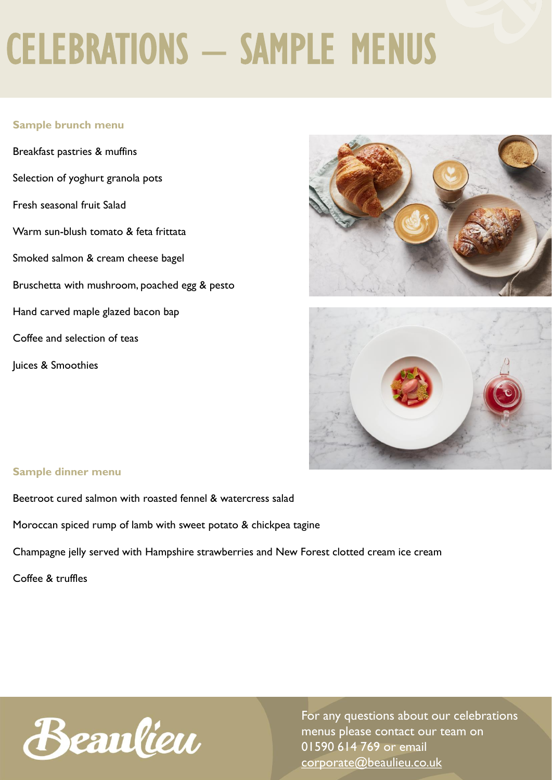## CELEBRATIONS – SAMPLE MENUS

### **Sample brunch menu**

Breakfast pastries & muffins Selection of yoghurt granola pots Fresh seasonal fruit Salad Warm sun-blush tomato & feta frittata Smoked salmon & cream cheese bagel Bruschetta with mushroom, poached egg & pesto Hand carved maple glazed bacon bap Coffee and selection of teas Juices & Smoothies





#### **Sample dinner menu**

Beetroot cured salmon with roasted fennel & watercress salad

Moroccan spiced rump of lamb with sweet potato & chickpea tagine

Champagne jelly served with Hampshire strawberries and New Forest clotted cream ice cream

Coffee & truffles



For any questions about our celebrations menus please contact our team on 01590 614 769 or email [corporate@beaulieu.co.uk](mailto:weddings@beaulieu.co.uk)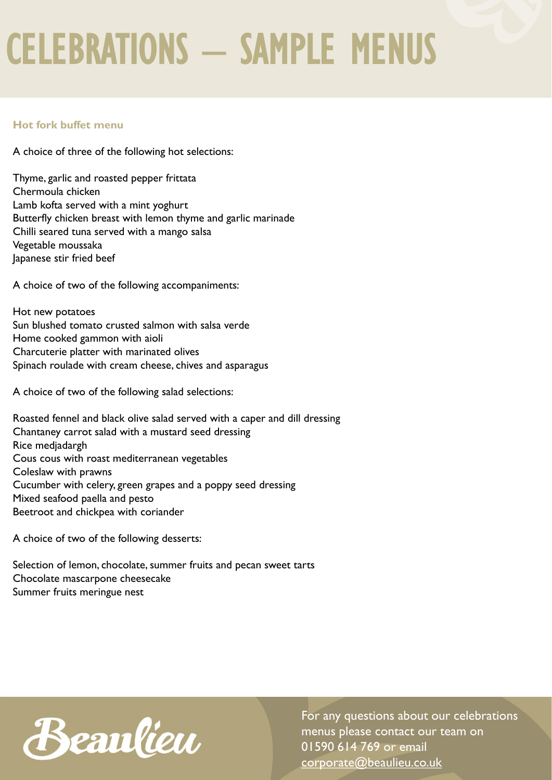## CELEBRATIONS – SAMPLE MENUS

### **Hot fork buffet menu**

A choice of three of the following hot selections:

Thyme, garlic and roasted pepper frittata Chermoula chicken Lamb kofta served with a mint yoghurt Butterfly chicken breast with lemon thyme and garlic marinade Chilli seared tuna served with a mango salsa Vegetable moussaka Japanese stir fried beef

A choice of two of the following accompaniments:

Hot new potatoes Sun blushed tomato crusted salmon with salsa verde Home cooked gammon with aioli Charcuterie platter with marinated olives Spinach roulade with cream cheese, chives and asparagus

A choice of two of the following salad selections:

Roasted fennel and black olive salad served with a caper and dill dressing Chantaney carrot salad with a mustard seed dressing Rice medjadargh Cous cous with roast mediterranean vegetables Coleslaw with prawns Cucumber with celery, green grapes and a poppy seed dressing Mixed seafood paella and pesto Beetroot and chickpea with coriander

A choice of two of the following desserts:

Selection of lemon, chocolate, summer fruits and pecan sweet tarts Chocolate mascarpone cheesecake Summer fruits meringue nest



For any questions about our celebrations menus please contact our team on 01590 614 769 or email [corporate@beaulieu.co.uk](mailto:weddings@beaulieu.co.uk)